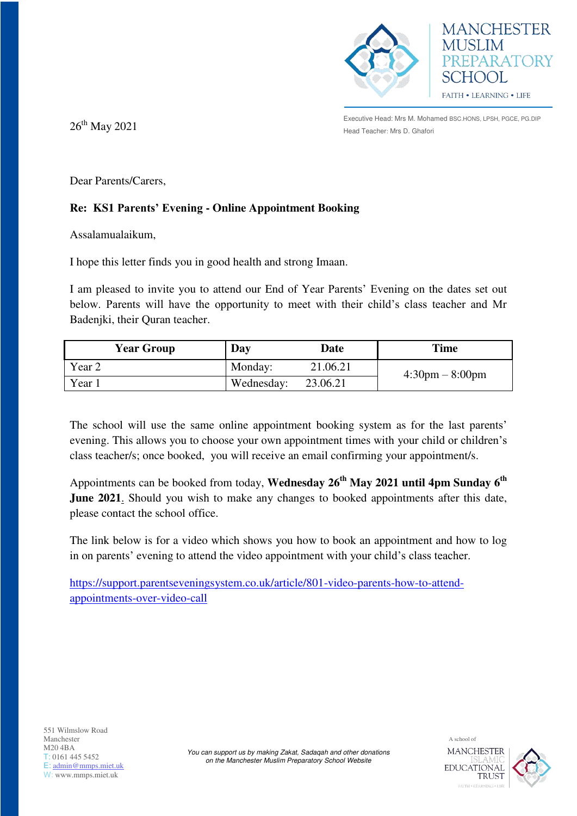



Executive Head: Mrs M. Mohamed BSC.HONS, LPSH, PGCE, PG.DIP  $26<sup>th</sup>$  May  $2021$  Head Teacher: Mrs D. Ghafori

Dear Parents/Carers,

## **Re: KS1 Parents' Evening - Online Appointment Booking**

Assalamualaikum,

I hope this letter finds you in good health and strong Imaan.

I am pleased to invite you to attend our End of Year Parents' Evening on the dates set out below. Parents will have the opportunity to meet with their child's class teacher and Mr Badenjki, their Quran teacher.

| <b>Year Group</b> | Day        | Date     | Time                              |
|-------------------|------------|----------|-----------------------------------|
| Year 2            | Monday:    | 21.06.21 | $4:30 \text{pm} - 8:00 \text{pm}$ |
| Year 1            | Wednesday: | 23.06.21 |                                   |

The school will use the same online appointment booking system as for the last parents' evening. This allows you to choose your own appointment times with your child or children's class teacher/s; once booked, you will receive an email confirming your appointment/s.

Appointments can be booked from today, **Wednesday 26th May 2021 until 4pm Sunday 6th June 2021**. Should you wish to make any changes to booked appointments after this date, please contact the school office.

The link below is for a video which shows you how to book an appointment and how to log in on parents' evening to attend the video appointment with your child's class teacher.

[https://support.parentseveningsystem.co.uk/article/801-video-parents-how-to-attend](https://support.parentseveningsystem.co.uk/article/801-video-parents-how-to-attend-appointments-over-video-call)[appointments-over-video-call](https://support.parentseveningsystem.co.uk/article/801-video-parents-how-to-attend-appointments-over-video-call)